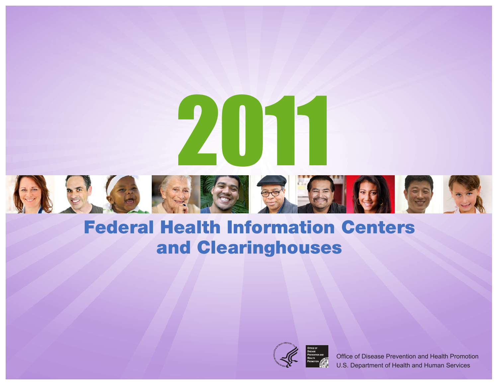



Office of Disease Prevention and Health Promotion U.S. Department of Health and Human Services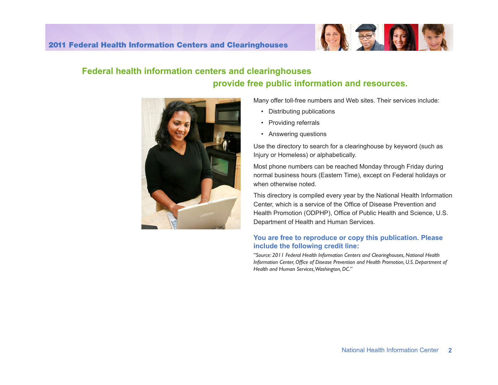

# **Federal health information centers and clearinghouses provide free public information and resources.**



Many offer toll-free numbers and Web sites. Their services include:

- Distributing publications
- Providing referrals
- Answering questions

Use the directory to search for a clearinghouse by keyword (such as Injury or Homeless) or alphabetically.

Most phone numbers can be reached Monday through Friday during normal business hours (Eastern Time), except on Federal holidays or when otherwise noted.

This directory is compiled every year by the National Health Information Center, which is a service of the Office of Disease Prevention and Health Promotion (ODPHP), Office of Public Health and Science, U.S. Department of Health and Human Services.

## **You are free to reproduce or copy this publication. Please include the following credit line:**

*"Source: 2011 Federal Health Information Centers and Clearinghouses, National Health Information Center, Office of Disease Prevention and Health Promotion, U.S. Department of Health and Human Services, Washington, DC."*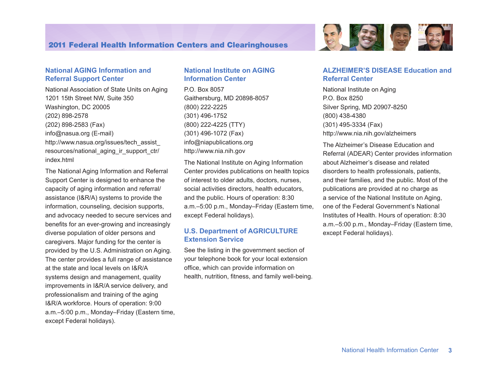## **National AGING Information and Referral Support Center**

National Association of State Units on Aging 1201 15th Street NW, Suite 350 Washington, DC 20005 (202) 898-2578 (202) 898-2583 (Fax) <info@nasua.org>(E-mail) [http://www.nasua.org/issues/tech\\_assist\\_](http://www.nasua.org/issues/tech_assist_resources/national_aging_ir_support_ctr/index.html) [resources/national\\_aging\\_ir\\_support\\_ctr/](http://www.nasua.org/issues/tech_assist_resources/national_aging_ir_support_ctr/index.html) [index.html](http://www.nasua.org/issues/tech_assist_resources/national_aging_ir_support_ctr/index.html)

The National Aging Information and Referral Support Center is designed to enhance the capacity of aging information and referral/ assistance (I&R/A) systems to provide the information, counseling, decision supports, and advocacy needed to secure services and benefits for an ever-growing and increasingly diverse population of older persons and caregivers. Major funding for the center is provided by the U.S. Administration on Aging. The center provides a full range of assistance at the state and local levels on I&R/A systems design and management, quality improvements in I&R/A service delivery, and professionalism and training of the aging I&R/A workforce. Hours of operation: 9:00 a.m.–5:00 p.m., Monday–Friday (Eastern time, except Federal holidays).

## **National Institute on AGING Information Center**

P.O. Box 8057 Gaithersburg, MD 20898-8057 (800) 222-2225 (301) 496-1752 (800) 222-4225 (TTY) (301) 496-1072 (Fax) <info@niapublications.org> <http://www.nia.nih.gov>

The National Institute on Aging Information Center provides publications on health topics of interest to older adults, doctors, nurses, social activities directors, health educators, and the public. Hours of operation: 8:30 a.m.–5:00 p.m., Monday–Friday (Eastern time, except Federal holidays).

## **U.S. Department of AGRICULTURE Extension Service**

See the listing in the government section of your telephone book for your local extension office, which can provide information on health, nutrition, fitness, and family well-being.



## **ALZHEIMER'S DISEASE Education and Referral Center**

National Institute on Aging P.O. Box 8250 Silver Spring, MD 20907-8250 (800) 438-4380 (301) 495-3334 (Fax) <http://www.nia.nih.gov/alzheimers>

The Alzheimer's Disease Education and Referral (ADEAR) Center provides information about Alzheimer's disease and related disorders to health professionals, patients, and their families, and the public. Most of the publications are provided at no charge as a service of the National Institute on Aging, one of the Federal Government's National Institutes of Health. Hours of operation: 8:30 a.m.–5:00 p.m., Monday–Friday (Eastern time, except Federal holidays).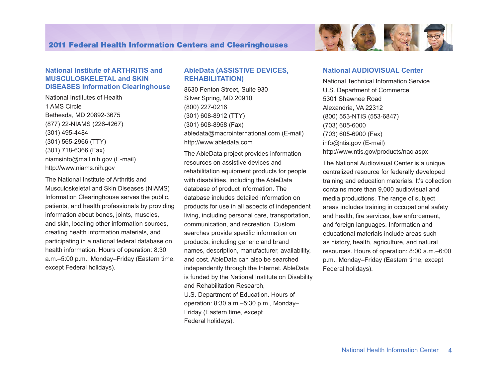

#### **National Institute of ARTHRITIS and MUSCULOSKELETAL and SKIN DISEASES Information Clearinghouse**

National Institutes of Health 1 AMS Circle Bethesda, MD 20892-3675 (877) 22-NIAMS (226-4267) (301) 495-4484 (301) 565-2966 (TTY) (301) 718-6366 (Fax) <niamsinfo@mail.nih.gov> (E-mail) <http://www.niams.nih.gov>

The National Institute of Arthritis and Musculoskeletal and Skin Diseases (NIAMS) Information Clearinghouse serves the public, patients, and health professionals by providing information about bones, joints, muscles, and skin, locating other information sources, creating health information materials, and participating in a national federal database on health information. Hours of operation: 8:30 a.m.–5:00 p.m., Monday–Friday (Eastern time, except Federal holidays).

## **AbleData (ASSISTIVE DEVICES, REHABILITATION)**

8630 Fenton Street, Suite 930 Silver Spring, MD 20910 (800) 227-0216 (301) 608-8912 (TTY) (301) 608-8958 (Fax) <abledata@macrointernational.com> (E-mail) <http://www.abledata.com>

The AbleData project provides information resources on assistive devices and rehabilitation equipment products for people with disabilities, including the AbleData database of product information. The database includes detailed information on products for use in all aspects of independent living, including personal care, transportation, communication, and recreation. Custom searches provide specific information on products, including generic and brand names, description, manufacturer, availability, and cost. AbleData can also be searched independently through the Internet. AbleData is funded by the National Institute on Disability and Rehabilitation Research, U.S. Department of Education. Hours of operation: 8:30 a.m.–5:30 p.m., Monday– Friday (Eastern time, except Federal holidays).

#### **National AUDIOVISUAL Center**

National Technical Information Service U.S. Department of Commerce 5301 Shawnee Road Alexandria, VA 22312 (800) 553-NTIS (553-6847) (703) 605-6000 (703) 605-6900 (Fax) <info@ntis.gov> (E-mail) <http://www.ntis.gov/products/nac.aspx>

The National Audiovisual Center is a unique centralized resource for federally developed training and education materials. It's collection contains more than 9,000 audiovisual and media productions. The range of subject areas includes training in occupational safety and health, fire services, law enforcement, and foreign languages. Information and educational materials include areas such as history, health, agriculture, and natural resources. Hours of operation: 8:00 a.m.–6:00 p.m., Monday–Friday (Eastern time, except Federal holidays).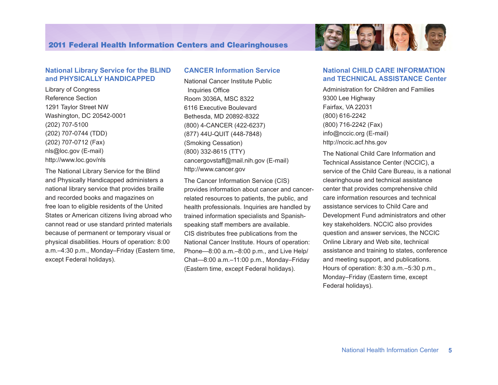

Library of Congress Reference Section 1291 Taylor Street NW Washington, DC 20542-0001 (202) 707-5100 (202) 707-0744 (TDD) (202) 707-0712 (Fax) <nls@loc.gov>(E-mail) <http://www.loc.gov/nls>

The National Library Service for the Blind and Physically Handicapped administers a national library service that provides braille and recorded books and magazines on free loan to eligible residents of the United States or American citizens living abroad who cannot read or use standard printed materials because of permanent or temporary visual or physical disabilities. Hours of operation: 8:00 a.m.–4:30 p.m., Monday–Friday (Eastern time, except Federal holidays).

## **CANCER Information Service**

National Cancer Institute Public Inquiries Office Room 3036A, MSC 8322 6116 Executive Boulevard Bethesda, MD 20892-8322 (800) 4-CANCER (422-6237) (877) 44U-QUIT (448-7848) (Smoking Cessation) (800) 332-8615 (TTY) <cancergovstaff@mail.nih.gov> (E-mail) <http://www.cancer.gov>

The Cancer Information Service (CIS) provides information about cancer and cancerrelated resources to patients, the public, and health professionals. Inquiries are handled by trained information specialists and Spanishspeaking staff members are available. CIS distributes free publications from the National Cancer Institute. Hours of operation: Phone—8:00 a.m.–8:00 p.m., and Live Help/ Chat—8:00 a.m.–11:00 p.m., Monday–Friday (Eastern time, except Federal holidays).



## **National CHILD CARE INFORMATION and TECHNICAL ASSISTANCE Center**

Administration for Children and Families 9300 Lee Highway Fairfax, VA 22031 (800) 616-2242 (800) 716-2242 (Fax) <info@nccic.org>(E-mail) <http://nccic.acf.hhs.gov>

The National Child Care Information and Technical Assistance Center (NCCIC), a service of the Child Care Bureau, is a national clearinghouse and technical assistance center that provides comprehensive child care information resources and technical assistance services to Child Care and Development Fund administrators and other key stakeholders. NCCIC also provides question and answer services, the NCCIC Online Library and Web site, technical assistance and training to states, conference and meeting support, and publications. Hours of operation: 8:30 a.m.–5:30 p.m., Monday–Friday (Eastern time, except Federal holidays).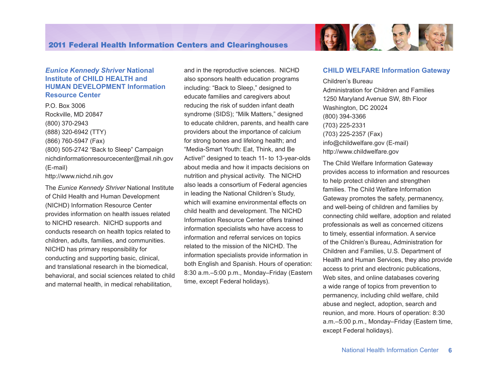#### *Eunice Kennedy Shriver* **National Institute of CHILD HEALTH and HUMAN DEVELOPMENT Information Resource Center**

P.O. Box 3006 Rockville, MD 20847 (800) 370-2943 (888) 320-6942 (TTY) (866) 760-5947 (Fax) (800) 505-2742 "Back to Sleep" Campaign <nichdinformationresourcecenter@mail.nih.gov> (E-mail) <http://www.nichd.nih.gov>

The *Eunice Kennedy Shriver* National Institute of Child Health and Human Development (NICHD) Information Resource Center provides information on health issues related to NICHD research. NICHD supports and conducts research on health topics related to children, adults, families, and communities. NICHD has primary responsibility for conducting and supporting basic, clinical, and translational research in the biomedical, behavioral, and social sciences related to child and maternal health, in medical rehabilitation,

and in the reproductive sciences. NICHD also sponsors health education programs including: "Back to Sleep," designed to educate families and caregivers about reducing the risk of sudden infant death syndrome (SIDS); "Milk Matters," designed to educate children, parents, and health care providers about the importance of calcium for strong bones and lifelong health; and "Media-Smart Youth: Eat, Think, and Be Active!" designed to teach 11- to 13-year-olds about media and how it impacts decisions on nutrition and physical activity. The NICHD also leads a consortium of Federal agencies in leading the National Children's Study, which will examine environmental effects on child health and development. The NICHD Information Resource Center offers trained information specialists who have access to information and referral services on topics related to the mission of the NICHD. The information specialists provide information in both English and Spanish. Hours of operation: 8:30 a.m.–5:00 p.m., Monday–Friday (Eastern time, except Federal holidays).

### **CHILD WELFARE Information Gateway**

EN SE EL

Children's Bureau Administration for Children and Families 1250 Maryland Avenue SW, 8th Floor Washington, DC 20024 (800) 394-3366 (703) 225-2331 (703) 225-2357 (Fax) <info@childwelfare.gov>(E-mail) <http://www.childwelfare.gov>

The Child Welfare Information Gateway provides access to information and resources to help protect children and strengthen families. The Child Welfare Information Gateway promotes the safety, permanency, and well-being of children and families by connecting child welfare, adoption and related professionals as well as concerned citizens to timely, essential information. A service of the Children's Bureau, Administration for Children and Families, U.S. Department of Health and Human Services, they also provide access to print and electronic publications, Web sites, and online databases covering a wide range of topics from prevention to permanency, including child welfare, child abuse and neglect, adoption, search and reunion, and more. Hours of operation: 8:30 a.m.–5:00 p.m., Monday–Friday (Eastern time, except Federal holidays).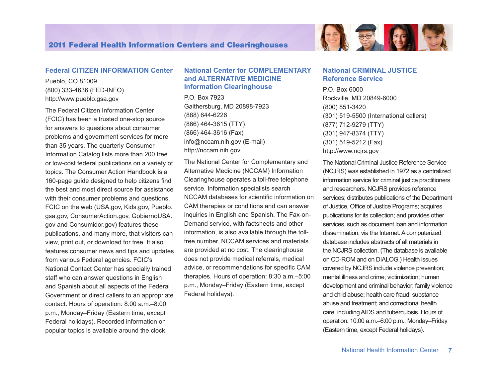

#### **Federal CITIZEN INFORMATION Center**

Pueblo, CO 81009 (800) 333-4636 (FED-INFO) <http://www.pueblo.gsa.gov>

The Federal Citizen Information Center (FCIC) has been a trusted one-stop source for answers to questions about consumer problems and government services for more than 35 years. The quarterly Consumer Information Catalog lists more than 200 free or low-cost federal publications on a variety of topics. The Consumer Action Handbook is a 160-page guide designed to help citizens find the best and most direct source for assistance with their consumer problems and questions. FCIC on the web (USA.gov, Kids.gov, Pueblo. gsa.gov, ConsumerAction.gov, GobiernoUSA. gov and Consumidor.gov) features these publications, and many more, that visitors can view, print out, or download for free. It also features consumer news and tips and updates from various Federal agencies. FCIC's National Contact Center has specially trained staff who can answer questions in English and Spanish about all aspects of the Federal Government or direct callers to an appropriate contact. Hours of operation: 8:00 a.m.–8:00 p.m., Monday–Friday (Eastern time, except Federal holidays). Recorded information on popular topics is available around the clock.

#### **National Center for COMPLEMENTARY and ALTERNATIVE MEDICINE Information Clearinghouse**

P.O. Box 7923 Gaithersburg, MD 20898-7923 (888) 644-6226 (866) 464-3615 (TTY) (866) 464-3616 (Fax) <info@nccam.nih.gov>(E-mail) <http://nccam.nih.gov>

The National Center for Complementary and Alternative Medicine (NCCAM) Information Clearinghouse operates a toll-free telephone service. Information specialists search NCCAM databases for scientific information on CAM therapies or conditions and can answer inquiries in English and Spanish. The Fax-on-Demand service, with factsheets and other information, is also available through the tollfree number. NCCAM services and materials are provided at no cost. The clearinghouse does not provide medical referrals, medical advice, or recommendations for specific CAM therapies. Hours of operation: 8:30 a.m.–5:00 p.m., Monday–Friday (Eastern time, except Federal holidays).

## **National CRIMINAL JUSTICE Reference Service**

P.O. Box 6000 Rockville, MD 20849-6000 (800) 851-3420 (301) 519-5500 (International callers) (877) 712-9279 (TTY) (301) 947-8374 (TTY) (301) 519-5212 (Fax) <http://www.ncjrs.gov>

The National Criminal Justice Reference Service (NCJRS) was established in 1972 as a centralized information service for criminal justice practitioners and researchers. NCJRS provides reference services; distributes publications of the Department of Justice, Office of Justice Programs; acquires publications for its collection; and provides other services, such as document loan and information dissemination, via the Internet. A computerized database includes abstracts of all materials in the NCJRS collection. (The database is available on CD-ROM and on DIALOG.) Health issues covered by NCJRS include violence prevention; mental illness and crime; victimization; human development and criminal behavior; family violence and child abuse; health care fraud; substance abuse and treatment; and correctional health care, including AIDS and tuberculosis. Hours of operation: 10:00 a.m.–6:00 p.m., Monday–Friday (Eastern time, except Federal holidays).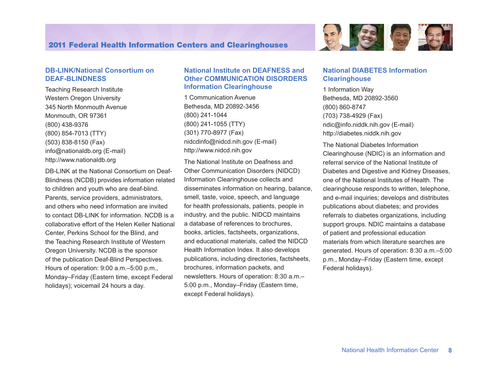

#### **DB-LINK/National Consortium on DEAF-BLINDNESS**

Teaching Research Institute Western Oregon University 345 North Monmouth Avenue Monmouth, OR 97361 (800) 438-9376 (800) 854-7013 (TTY) (503) 838-8150 (Fax) <info@nationaldb.org>(E-mail) <http://www.nationaldb.org>

DB-LINK at the National Consortium on Deaf-Blindness (NCDB) provides information related to children and youth who are deaf-blind. Parents, service providers, administrators, and others who need information are invited to contact DB-LINK for information. NCDB is a collaborative effort of the Helen Keller National Center, Perkins School for the Blind, and the Teaching Research Institute of Western Oregon University. NCDB is the sponsor of the publication Deaf-Blind Perspectives. Hours of operation: 9:00 a.m.–5:00 p.m., Monday–Friday (Eastern time, except Federal holidays); voicemail 24 hours a day.

## **National Institute on DEAFNESS and Other COMMUNICATION DISORDERS Information Clearinghouse**

1 Communication Avenue Bethesda, MD 20892-3456 (800) 241-1044 (800) 241-1055 (TTY) (301) 770-8977 (Fax) <nidcdinfo@nidcd.nih.gov>(E-mail) <http://www.nidcd.nih.gov>

The National Institute on Deafness and Other Communication Disorders (NIDCD) Information Clearinghouse collects and disseminates information on hearing, balance, smell, taste, voice, speech, and language for health professionals, patients, people in industry, and the public. NIDCD maintains a database of references to brochures, books, articles, factsheets, organizations, and educational materials, called the NIDCD Health Information Index. It also develops publications, including directories, factsheets, brochures, information packets, and newsletters. Hours of operation: 8:30 a.m.– 5:00 p.m., Monday–Friday (Eastern time, except Federal holidays).

## **National DIABETES Information Clearinghouse**

1 Information Way Bethesda, MD 20892-3560 (800) 860-8747 (703) 738-4929 (Fax) <ndic@info.niddk.nih.gov>(E-mail) <http://diabetes.niddk.nih.gov>

The National Diabetes Information Clearinghouse (NDIC) is an information and referral service of the National Institute of Diabetes and Digestive and Kidney Diseases, one of the National Institutes of Health. The clearinghouse responds to written, telephone, and e-mail inquiries; develops and distributes publications about diabetes; and provides referrals to diabetes organizations, including support groups. NDIC maintains a database of patient and professional education materials from which literature searches are generated. Hours of operation: 8:30 a.m.–5:00 p.m., Monday–Friday (Eastern time, except Federal holidays).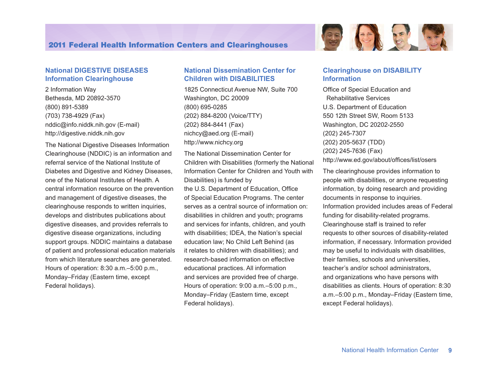#### **National DIGESTIVE DISEASES Information Clearinghouse**

2 Information Way Bethesda, MD 20892-3570 (800) 891-5389 (703) 738-4929 (Fax) <nddic@info.niddk.nih.gov>(E-mail) <http://digestive.niddk.nih.gov>

The National Digestive Diseases Information Clearinghouse (NDDIC) is an information and referral service of the National Institute of Diabetes and Digestive and Kidney Diseases, one of the National Institutes of Health. A central information resource on the prevention and management of digestive diseases, the clearinghouse responds to written inquiries, develops and distributes publications about digestive diseases, and provides referrals to digestive disease organizations, including support groups. NDDIC maintains a database of patient and professional education materials from which literature searches are generated. Hours of operation: 8:30 a.m.–5:00 p.m., Monday–Friday (Eastern time, except Federal holidays).

## **National Dissemination Center for Children with DISABILITIES**

1825 Connecticut Avenue NW, Suite 700 Washington, DC 20009 (800) 695-0285 (202) 884-8200 (Voice/TTY) (202) 884-8441 (Fax) <nichcy@aed.org> (E-mail) <http://www.nichcy.org>

The National Dissemination Center for Children with Disabilities (formerly the National Information Center for Children and Youth with Disabilities) is funded by the U.S. Department of Education, Office of Special Education Programs. The center serves as a central source of information on: disabilities in children and youth; programs and services for infants, children, and youth with disabilities; IDEA, the Nation's special education law; No Child Left Behind (as it relates to children with disabilities); and research-based information on effective educational practices. All information and services are provided free of charge. Hours of operation: 9:00 a.m.–5:00 p.m., Monday–Friday (Eastern time, except Federal holidays).

## **Clearinghouse on DISABILITY Information**

Office of Special Education and Rehabilitative Services U.S. Department of Education 550 12th Street SW, Room 5133 Washington, DC 20202-2550 (202) 245-7307 (202) 205-5637 (TDD) (202) 245-7636 (Fax) <http://www.ed.gov/about/offices/list/osers>

The clearinghouse provides information to people with disabilities, or anyone requesting information, by doing research and providing documents in response to inquiries. Information provided includes areas of Federal funding for disability-related programs. Clearinghouse staff is trained to refer requests to other sources of disability-related information, if necessary. Information provided may be useful to individuals with disabilities, their families, schools and universities, teacher's and/or school administrators, and organizations who have persons with disabilities as clients. Hours of operation: 8:30 a.m.–5:00 p.m., Monday–Friday (Eastern time, except Federal holidays).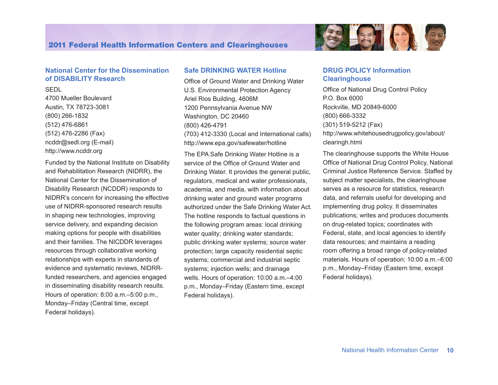

## **National Center for the Dissemination of DISABILITY Research**

**SEDL** 

4700 Mueller Boulevard Austin, TX 78723-3081 (800) 266-1832 (512) 476-6861 (512) 476-2286 (Fax) ncddr@sedl.org (E-mail) <http://www.ncddr.org>

Funded by the National Institute on Disability and Rehabilitation Research (NIDRR), the National Center for the Dissemination of Disability Research (NCDDR) responds to NIDRR's concern for increasing the effective use of NIDRR-sponsored research results in shaping new technologies, improving service delivery, and expanding decision making options for people with disabilities and their families. The NICDDR leverages resources through collaborative working relationships with experts in standards of evidence and systematic reviews, NIDRRfunded researchers, and agencies engaged in disseminating disability research results. Hours of operation: 8:00 a.m.–5:00 p.m., Monday–Friday (Central time, except Federal holidays).

## **Safe DRINKING WATER Hotline**

Office of Ground Water and Drinking Water U.S. Environmental Protection Agency Ariel Rios Building, 4606M 1200 Pennsylvania Avenue NW Washington, DC 20460 (800) 426-4791 (703) 412-3330 (Local and International calls) <http://www.epa.gov/safewater/hotline>

The EPA Safe Drinking Water Hotline is a service of the Office of Ground Water and Drinking Water. It provides the general public, regulators, medical and water professionals, academia, and media, with information about drinking water and ground water programs authorized under the Safe Drinking Water Act. The hotline responds to factual questions in the following program areas: local drinking water quality; drinking water standards; public drinking water systems; source water protection; large capacity residential septic systems; commercial and industrial septic systems; injection wells; and drainage wells. Hours of operation: 10:00 a.m.–4:00 p.m., Monday–Friday (Eastern time, except Federal holidays).

## **DRUG POLICY Information Clearinghouse**

Office of National Drug Control Policy P.O. Box 6000 Rockville, MD 20849-6000 (800) 666-3332 (301) 519-5212 (Fax) [http://www.whitehousedrugpolicy.gov/about/](http://www.whitehousedrugpolicy.gov/about/clearingh.html) [clearingh.html](http://www.whitehousedrugpolicy.gov/about/clearingh.html)

The clearinghouse supports the White House Office of National Drug Control Policy, National Criminal Justice Reference Service. Staffed by subject matter specialists, the clearinghouse serves as a resource for statistics, research data, and referrals useful for developing and implementing drug policy. It disseminates publications; writes and produces documents on drug-related topics; coordinates with Federal, state, and local agencies to identify data resources; and maintains a reading room offering a broad range of policy-related materials. Hours of operation: 10:00 a.m.–6:00 p.m., Monday–Friday (Eastern time, except Federal holidays).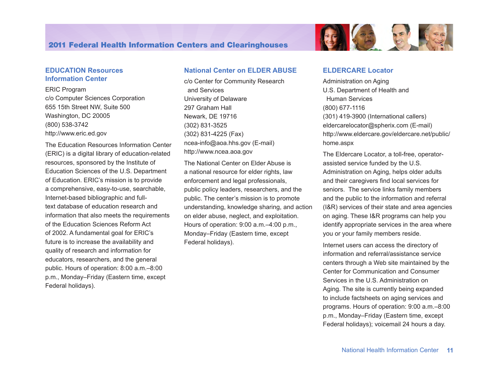#### **EDUCATION Resources Information Center**

ERIC Program c/o Computer Sciences Corporation 655 15th Street NW, Suite 500 Washington, DC 20005 (800) 538-3742 <http://www.eric.ed.gov>

The Education Resources Information Center (ERIC) is a digital library of education-related resources, sponsored by the Institute of Education Sciences of the U.S. Department of Education. ERIC's mission is to provide a comprehensive, easy-to-use, searchable, Internet-based bibliographic and fulltext database of education research and information that also meets the requirements of the Education Sciences Reform Act of 2002. A fundamental goal for ERIC's future is to increase the availability and quality of research and information for educators, researchers, and the general public. Hours of operation: 8:00 a.m.–8:00 p.m., Monday–Friday (Eastern time, except Federal holidays).

## **National Center on ELDER ABUSE**

c/o Center for Community Research and Services University of Delaware 297 Graham Hall Newark, DE 19716 (302) 831-3525 (302) 831-4225 (Fax) <ncea-info@aoa.hhs.gov>(E-mail) <http://www.ncea.aoa.gov>

The National Center on Elder Abuse is a national resource for elder rights, law enforcement and legal professionals, public policy leaders, researchers, and the public. The center's mission is to promote understanding, knowledge sharing, and action on elder abuse, neglect, and exploitation. Hours of operation: 9:00 a.m.–4:00 p.m., Monday–Friday (Eastern time, except Federal holidays).



#### **ELDERCARE Locator**

Administration on Aging U.S. Department of Health and Human Services (800) 677-1116 (301) 419-3900 (International callers) <eldercarelocator@spherix.com> (E-mail) [http://www.eldercare.gov/eldercare.net/public/](http://www.eldercare.gov/eldercare.net/public/home.aspx) [home.aspx](http://www.eldercare.gov/eldercare.net/public/home.aspx)

The Eldercare Locator, a toll-free, operatorassisted service funded by the U.S. Administration on Aging, helps older adults and their caregivers find local services for seniors. The service links family members and the public to the information and referral (I&R) services of their state and area agencies on aging. These I&R programs can help you identify appropriate services in the area where you or your family members reside.

Internet users can access the directory of information and referral/assistance service centers through a Web site maintained by the Center for Communication and Consumer Services in the U.S. Administration on Aging. The site is currently being expanded to include factsheets on aging services and programs. Hours of operation: 9:00 a.m.–8:00 p.m., Monday–Friday (Eastern time, except Federal holidays); voicemail 24 hours a day.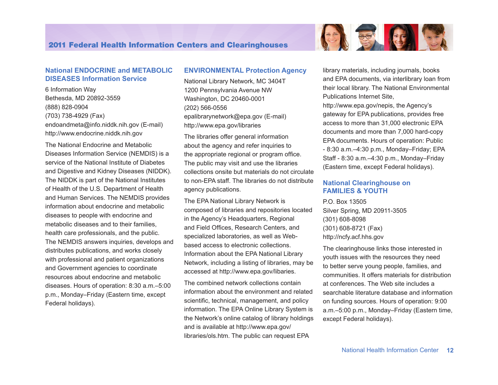

6 Information Way Bethesda, MD 20892-3559 (888) 828-0904 (703) 738-4929 (Fax) <endoandmeta@info.niddk.nih.gov> (E-mail) <http://www.endocrine.niddk.nih.gov>

The National Endocrine and Metabolic Diseases Information Service (NEMDIS) is a service of the National Institute of Diabetes and Digestive and Kidney Diseases (NIDDK). The NIDDK is part of the National Institutes of Health of the U.S. Department of Health and Human Services. The NEMDIS provides information about endocrine and metabolic diseases to people with endocrine and metabolic diseases and to their families, health care professionals, and the public. The NEMDIS answers inquiries, develops and distributes publications, and works closely with professional and patient organizations and Government agencies to coordinate resources about endocrine and metabolic diseases. Hours of operation: 8:30 a.m.–5:00 p.m., Monday–Friday (Eastern time, except Federal holidays).

#### **ENVIRONMENTAL Protection Agency**

National Library Network, MC 3404T 1200 Pennsylvania Avenue NW Washington, DC 20460-0001 (202) 566-0556 epalibrarynetwork[@epa.gov](epachemlibraries@epa.gov) (E-mail) [http://www.epa.gov/](http://www.epa.gov/natlibra/hqirc)libraries

The libraries offer general information about the agency and refer inquiries to the appropriate regional or program office. The public may visit and use the libraries collections onsite but materials do not circulate to non-EPA staff. The libraries do not distribute agency publications.

The EPA National Library Network is composed of libraries and repositories located in the Agency's Headquarters, Regional and Field Offices, Research Centers, and specialized laboratories, as well as Webbased access to electronic collections. Information about the EPA National Library Network, including a listing of libraries, may be accessed at [http://www.epa.gov/libaries.](http://www.epa.gov/libaries)

The combined network collections contain information about the environment and related scientific, technical, management, and policy information. The EPA Online Library System is the Network's online catalog of library holdings and is available at <http://www.epa.gov/> libraries/ols.htm. The public can request EPA

library materials, including journals, books and EPA documents, via interlibrary loan from their local library. The National Environmental Publications Internet Site,

C F CI

[http://www.epa.gov/nepis,](http://www.epa.gov/nepis) the Agency's gateway for EPA publications, provides free access to more than 31,000 electronic EPA documents and more than 7,000 hard-copy EPA documents. Hours of operation: Public - 8:30 a.m.–4:30 p.m., Monday–Friday; EPA Staff - 8:30 a.m.–4:30 p.m., Monday–Friday (Eastern time, except Federal holidays).

#### **National Clearinghouse on FAMILIES & YOUTH**

P.O. Box 13505 Silver Spring, MD 20911-3505 (301) 608-8098 (301) 608-8721 (Fax) <http://ncfy.acf.hhs.gov>

The clearinghouse links those interested in youth issues with the resources they need to better serve young people, families, and communities. It offers materials for distribution at conferences. The Web site includes a searchable literature database and information on funding sources. Hours of operation: 9:00 a.m.–5:00 p.m., Monday–Friday (Eastern time, except Federal holidays).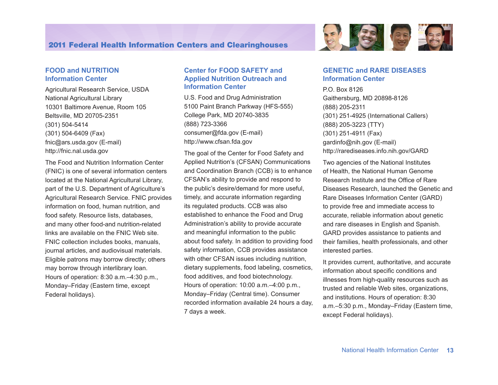## **FOOD and NUTRITION Information Center**

Agricultural Research Service, USDA National Agricultural Library 10301 Baltimore Avenue, Room 105 Beltsville, MD 20705-2351 (301) 504-5414 (301) 504-6409 (Fax) <fnic@ars.usda.gov>(E-mail) [http://fnic.nal.usda.gov](http://fnic.nal.usda.gov/nal_display/index.php?info_center=4&tax_level=1)

The Food and Nutrition Information Center (FNIC) is one of several information centers located at the National Agricultural Library, part of the U.S. Department of Agriculture's Agricultural Research Service. FNIC provides information on food, human nutrition, and food safety. Resource lists, databases, and many other food-and nutrition-related links are available on the FNIC Web site. FNIC collection includes books, manuals, journal articles, and audiovisual materials. Eligible patrons may borrow directly; others may borrow through interlibrary loan. Hours of operation: 8:30 a.m.–4:30 p.m., Monday–Friday (Eastern time, except Federal holidays).

## **Center for FOOD SAFETY and Applied Nutrition Outreach and Information Center**

U.S. Food and Drug Administration 5100 Paint Branch Parkway (HFS-555) College Park, MD 20740-3835 (888) 723-3366 <consumer@fda.gov>(E-mail) <http://www.cfsan.fda.gov>

The goal of the Center for Food Safety and Applied Nutrition's (CFSAN) Communications and Coordination Branch (CCB) is to enhance CFSAN's ability to provide and respond to the public's desire/demand for more useful, timely, and accurate information regarding its regulated products. CCB was also established to enhance the Food and Drug Administration's ability to provide accurate and meaningful information to the public about food safety. In addition to providing food safety information, CCB provides assistance with other CFSAN issues including nutrition, dietary supplements, food labeling, cosmetics, food additives, and food biotechnology. Hours of operation: 10:00 a.m.–4:00 p.m., Monday–Friday (Central time). Consumer recorded information available 24 hours a day, 7 days a week.



#### **GENETIC and RARE DISEASES Information Center**

P.O. Box 8126 Gaithersburg, MD 20898-8126 (888) 205-2311 (301) 251-4925 (International Callers) (888) 205-3223 (TTY) (301) 251-4911 (Fax) <gardinfo@nih.gov> (E-mail) <http://rarediseases.info.nih.gov/GARD>

Two agencies of the National Institutes of Health, the National Human Genome Research Institute and the Office of Rare Diseases Research, launched the Genetic and Rare Diseases Information Center (GARD) to provide free and immediate access to accurate, reliable information about genetic and rare diseases in English and Spanish. GARD provides assistance to patients and their families, health professionals, and other interested parties.

It provides current, authoritative, and accurate information about specific conditions and illnesses from high-quality resources such as trusted and reliable Web sites, organizations, and institutions. Hours of operation: 8:30 a.m.–5:30 p.m., Monday–Friday (Eastern time, except Federal holidays).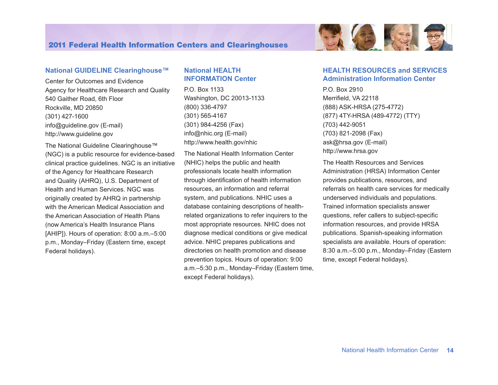

## **National GUIDELINE Clearinghouse™**

Center for Outcomes and Evidence Agency for Healthcare Research and Quality 540 Gaither Road, 6th Floor Rockville, MD 20850 (301) 427-1600 <info@guideline.gov> (E-mail) <http://www.guideline.gov>

The National Guideline Clearinghouse™ (NGC) is a public resource for evidence-based clinical practice guidelines. NGC is an initiative of the Agency for Healthcare Research and Quality (AHRQ), U.S. Department of Health and Human Services. NGC was originally created by AHRQ in partnership with the American Medical Association and the American Association of Health Plans (now America's Health Insurance Plans [AHIP]). Hours of operation: 8:00 a.m.–5:00 p.m., Monday–Friday (Eastern time, except Federal holidays).

#### **National HEALTH INFORMATION Center**

P.O. Box 1133 Washington, DC 20013-1133 (800) 336-4797 (301) 565-4167 (301) 984-4256 (Fax) <info@nhic.org>(E-mail) <http://www.health.gov/nhic>

The National Health Information Center (NHIC) helps the public and health professionals locate health information through identification of health information resources, an information and referral system, and publications. NHIC uses a database containing descriptions of healthrelated organizations to refer inquirers to the most appropriate resources. NHIC does not diagnose medical conditions or give medical advice. NHIC prepares publications and directories on health promotion and disease prevention topics. Hours of operation: 9:00 a.m.–5:30 p.m., Monday–Friday (Eastern time, except Federal holidays).

#### **HEALTH RESOURCES and SERVICES Administration Information Center**

P.O. Box 2910 Merrifield, VA 22118 (888) ASK-HRSA (275-4772) (877) 4TY-HRSA (489-4772) (TTY) (703) 442-9051 (703) 821-2098 (Fax) <ask@hrsa.gov>(E-mail) <http://www.hrsa.gov>

The Health Resources and Services Administration (HRSA) Information Center provides publications, resources, and referrals on health care services for medically underserved individuals and populations. Trained information specialists answer questions, refer callers to subject-specific information resources, and provide HRSA publications. Spanish-speaking information specialists are available. Hours of operation: 8:30 a.m.–5:00 p.m., Monday–Friday (Eastern time, except Federal holidays).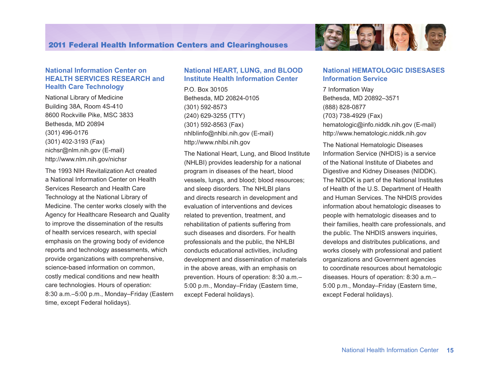

#### **National Information Center on HEALTH SERVICES RESEARCH and Health Care Technology**

National Library of Medicine Building 38A, Room 4S-410 8600 Rockville Pike, MSC 3833 Bethesda, MD 20894 (301) 496-0176 (301) 402-3193 (Fax) <nichsr@nlm.nih.gov>(E-mail) <http://www.nlm.nih.gov/nichsr>

The 1993 NIH Revitalization Act created a National Information Center on Health Services Research and Health Care Technology at the National Library of Medicine. The center works closely with the Agency for Healthcare Research and Quality to improve the dissemination of the results of health services research, with special emphasis on the growing body of evidence reports and technology assessments, which provide organizations with comprehensive, science-based information on common, costly medical conditions and new health care technologies. Hours of operation: 8:30 a.m.–5:00 p.m., Monday–Friday (Eastern time, except Federal holidays).

## **National HEART, LUNG, and BLOOD Institute Health Information Center**

P.O. Box 30105 Bethesda, MD 20824-0105 (301) 592-8573 (240) 629-3255 (TTY) (301) 592-8563 (Fax) <nhlbIinfo@nhlbi.nih.gov>(E-mail) <http://www.nhlbi.nih.gov>

The National Heart, Lung, and Blood Institute (NHLBI) provides leadership for a national program in diseases of the heart, blood vessels, lungs, and blood; blood resources; and sleep disorders. The NHLBI plans and directs research in development and evaluation of interventions and devices related to prevention, treatment, and rehabilitation of patients suffering from such diseases and disorders. For health professionals and the public, the NHLBI conducts educational activities, including development and dissemination of materials in the above areas, with an emphasis on prevention. Hours of operation: 8:30 a.m.– 5:00 p.m., Monday–Friday (Eastern time, except Federal holidays).

## **National HEMATOLOGIC DISESASES Information Service**

7 Information Way Bethesda, MD 20892–3571 (888) 828-0877 (703) 738-4929 (Fax) <hematologic@info.niddk.nih.gov>(E-mail) <http://www.hematologic.niddk.nih.gov>

The National Hematologic Diseases Information Service (NHDIS) is a service of the National Institute of Diabetes and Digestive and Kidney Diseases (NIDDK). The NIDDK is part of the National Institutes of Health of the U.S. Department of Health and Human Services. The NHDIS provides information about hematologic diseases to people with hematologic diseases and to their families, health care professionals, and the public. The NHDIS answers inquiries, develops and distributes publications, and works closely with professional and patient organizations and Government agencies to coordinate resources about hematologic diseases. Hours of operation: 8:30 a.m.– 5:00 p.m., Monday–Friday (Eastern time, except Federal holidays).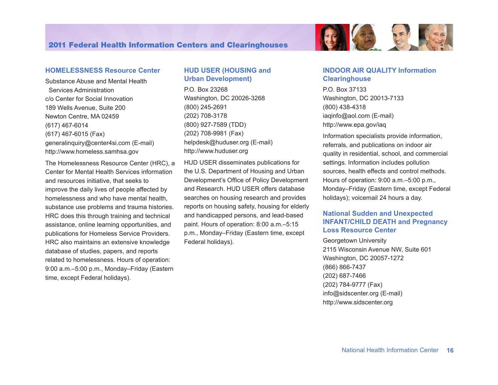

## **HOMELESSNESS Resource Center**

Substance Abuse and Mental Health Services Administration c/o Center for Social Innovation 189 Wells Avenue, Suite 200 Newton Centre, MA 02459 (617) 467-6014 (617) 467-6015 (Fax) <generalinquiry@center4si.com> (E-mail) <http://www.homeless.samhsa.gov>

The Homelessness Resource Center (HRC), a Center for Mental Health Services information and resources initiative, that seeks to improve the daily lives of people affected by homelessness and who have mental health, substance use problems and trauma histories. HRC does this through training and technical assistance, online learning opportunities, and publications for Homeless Service Providers. HRC also maintains an extensive knowledge database of studies, papers, and reports related to homelessness. Hours of operation: 9:00 a.m.–5:00 p.m., Monday–Friday (Eastern time, except Federal holidays).

## **HUD USER (HOUSING and Urban Development)**

P.O. Box 23268 Washington, DC 20026-3268 (800) 245-2691 (202) 708-3178 (800) 927-7589 (TDD) (202) 708-9981 (Fax) <helpdesk@huduser.org>(E-mail) <http://www.huduser.org>

HUD USER disseminates publications for the U.S. Department of Housing and Urban Development's Office of Policy Development and Research. HUD USER offers database searches on housing research and provides reports on housing safety, housing for elderly and handicapped persons, and lead-based paint. Hours of operation: 8:00 a.m.–5:15 p.m., Monday–Friday (Eastern time, except Federal holidays).

## **INDOOR AIR QUALITY Information Clearinghouse**

P.O. Box 37133 Washington, DC 20013-7133 (800) 438-4318 <iaqinfo@aol.com> (E-mail) <http://www.epa.gov/iaq>

Information specialists provide information, referrals, and publications on indoor air quality in residential, school, and commercial settings. Information includes pollution sources, health effects and control methods. Hours of operation: 9:00 a.m.–5:00 p.m., Monday–Friday (Eastern time, except Federal holidays); voicemail 24 hours a day.

## **National Sudden and Unexpected INFANT/CHILD DEATH and Pregnancy Loss Resource Center**

Georgetown University 2115 Wisconsin Avenue NW, Suite 601 Washington, DC 20057-1272 (866) 866-7437 (202) 687-7466 (202) 784-9777 (Fax) <info@sidscenter.org> (E-mail) <http://www.sidscenter.org>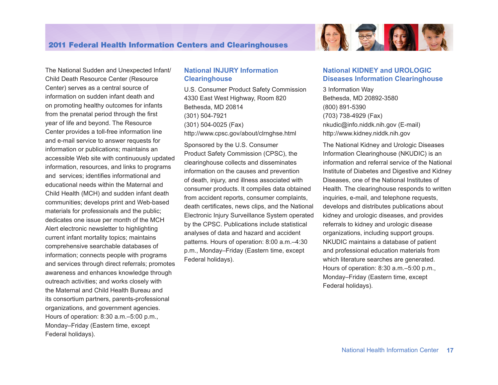

The National Sudden and Unexpected Infant/ Child Death Resource Center (Resource Center) serves as a central source of information on sudden infant death and on promoting healthy outcomes for infants from the prenatal period through the first year of life and beyond. The Resource Center provides a toll-free information line and e-mail service to answer requests for information or publications; maintains an accessible Web site with continuously updated information, resources, and links to programs and services; identifies informational and educational needs within the Maternal and Child Health (MCH) and sudden infant death communities; develops print and Web-based materials for professionals and the public; dedicates one issue per month of the MCH Alert electronic newsletter to highlighting current infant mortality topics; maintains comprehensive searchable databases of information; connects people with programs and services through direct referrals; promotes awareness and enhances knowledge through outreach activities; and works closely with the Maternal and Child Health Bureau and its consortium partners, parents-professional organizations, and government agencies. Hours of operation: 8:30 a.m.–5:00 p.m., Monday–Friday (Eastern time, except Federal holidays).

## **National INJURY Information Clearinghouse**

U.S. Consumer Product Safety Commission 4330 East West Highway, Room 820 Bethesda, MD 20814 (301) 504-7921 (301) 504-0025 (Fax) <http://www.cpsc.gov/about/clrnghse.html>

Sponsored by the U.S. Consumer Product Safety Commission (CPSC), the clearinghouse collects and disseminates information on the causes and prevention of death, injury, and illness associated with consumer products. It compiles data obtained from accident reports, consumer complaints, death certificates, news clips, and the National Electronic Injury Surveillance System operated by the CPSC. Publications include statistical analyses of data and hazard and accident patterns. Hours of operation: 8:00 a.m.–4:30 p.m., Monday–Friday (Eastern time, except Federal holidays).

## **National KIDNEY and UROLOGIC Diseases Information Clearinghouse**

3 Information Way Bethesda, MD 20892-3580 (800) 891-5390 (703) 738-4929 (Fax) <nkudic@info.niddk.nih.gov> (E-mail) <http://www.kidney.niddk.nih.gov>

The National Kidney and Urologic Diseases Information Clearinghouse (NKUDIC) is an information and referral service of the National Institute of Diabetes and Digestive and Kidney Diseases, one of the National Institutes of Health. The clearinghouse responds to written inquiries, e-mail, and telephone requests, develops and distributes publications about kidney and urologic diseases, and provides referrals to kidney and urologic disease organizations, including support groups. NKUDIC maintains a database of patient and professional education materials from which literature searches are generated. Hours of operation: 8:30 a.m.–5:00 p.m., Monday–Friday (Eastern time, except Federal holidays).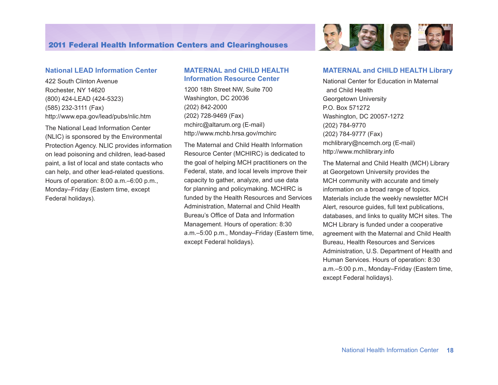

#### **National LEAD Information Center**

422 South Clinton Avenue Rochester, NY 14620 (800) 424-LEAD (424-5323) (585) 232-3111 (Fax) <http://www.epa.gov/lead/pubs/nlic.htm>

The National Lead Information Center (NLIC) is sponsored by the Environmental Protection Agency. NLIC provides information on lead poisoning and children, lead-based paint, a list of local and state contacts who can help, and other lead-related questions. Hours of operation: 8:00 a.m.–6:00 p.m., Monday–Friday (Eastern time, except Federal holidays).

## **MATERNAL and CHILD HEALTH Information Resource Center**

1200 18th Street NW, Suite 700 Washington, DC 20036 (202) 842-2000 (202) 728-9469 (Fax) <mchirc@altarum.org>(E-mail) <http://www.mchb.hrsa.gov/mchirc>

The Maternal and Child Health Information Resource Center (MCHIRC) is dedicated to the goal of helping MCH practitioners on the Federal, state, and local levels improve their capacity to gather, analyze, and use data for planning and policymaking. MCHIRC is funded by the Health Resources and Services Administration, Maternal and Child Health Bureau's Office of Data and Information Management. Hours of operation: 8:30 a.m.–5:00 p.m., Monday–Friday (Eastern time, except Federal holidays).

## **MATERNAL and CHILD HEALTH Library**

National Center for Education in Maternal and Child Health Georgetown University P.O. Box 571272 Washington, DC 20057-1272 (202) 784-9770 (202) 784-9777 (Fax) <mchlibrary@ncemch.org> (E-mail) <http://www.mchlibrary.info>

The Maternal and Child Health (MCH) Library at Georgetown University provides the MCH community with accurate and timely information on a broad range of topics. Materials include the weekly newsletter MCH Alert, resource guides, full text publications, databases, and links to quality MCH sites. The MCH Library is funded under a cooperative agreement with the Maternal and Child Health Bureau, Health Resources and Services Administration, U.S. Department of Health and Human Services. Hours of operation: 8:30 a.m.–5:00 p.m., Monday–Friday (Eastern time, except Federal holidays).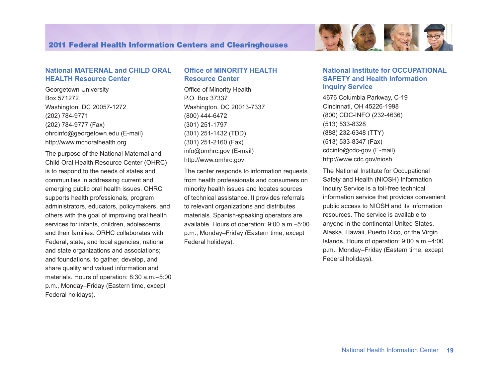

## **National MATERNAL and CHILD ORAL HEALTH Resource Center**

Georgetown University Box 571272 Washington, DC 20057-1272 (202) 784-9771 (202) 784-9777 (Fax) <ohrcinfo@georgetown.edu> (E-mail) <http://www.mchoralhealth.org>

The purpose of the National Maternal and Child Oral Health Resource Center (OHRC) is to respond to the needs of states and communities in addressing current and emerging public oral health issues. OHRC supports health professionals, program administrators, educators, policymakers, and others with the goal of improving oral health services for infants, children, adolescents, and their families. ORHC collaborates with Federal, state, and local agencies; national and state organizations and associations; and foundations, to gather, develop, and share quality and valued information and materials. Hours of operation: 8:30 a.m.–5:00 p.m., Monday–Friday (Eastern time, except Federal holidays).

## **Office of MINORITY HEALTH Resource Center**

Office of Minority Health P.O. Box 37337 Washington, DC 20013-7337 (800) 444-6472 (301) 251-1797 (301) 251-1432 (TDD) (301) 251-2160 (Fax) <info@omhrc.gov>(E-mail) <http://www.omhrc.gov>

The center responds to information requests from health professionals and consumers on minority health issues and locates sources of technical assistance. It provides referrals to relevant organizations and distributes materials. Spanish-speaking operators are available. Hours of operation: 9:00 a.m.–5:00 p.m., Monday–Friday (Eastern time, except Federal holidays).

## **National Institute for OCCUPATIONAL SAFETY and Health Information Inquiry Service**

4676 Columbia Parkway, C-19 Cincinnati, OH 45226-1998 (800) CDC-INFO (232-4636) (513) 533-8328 (888) 232-6348 (TTY) (513) 533-8347 (Fax) <cdcinfo@cdc-gov> (E-mail) <http://www.cdc.gov/niosh>

The National Institute for Occupational Safety and Health (NIOSH) Information Inquiry Service is a toll-free technical information service that provides convenient public access to NIOSH and its information resources. The service is available to anyone in the continental United States, Alaska, Hawaii, Puerto Rico, or the Virgin Islands. Hours of operation: 9:00 a.m.–4:00 p.m., Monday–Friday (Eastern time, except Federal holidays).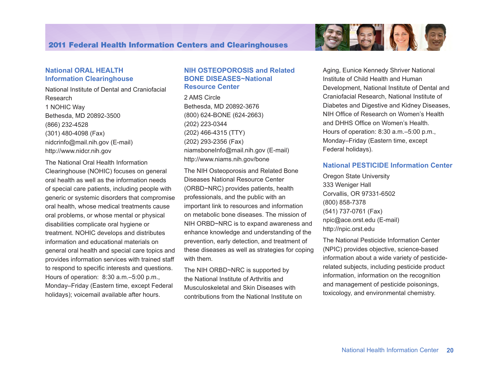

## **National ORAL HEALTH Information Clearinghouse**

National Institute of Dental and Craniofacial Research 1 NOHIC Way Bethesda, MD 20892-3500 (866) 232-4528 (301) 480-4098 (Fax) <nidcrinfo@mail.nih.gov> (E-mail) <http://www.nidcr.nih.gov>

The National Oral Health Information Clearinghouse (NOHIC) focuses on general oral health as well as the information needs of special care patients, including people with generic or systemic disorders that compromise oral health, whose medical treatments cause oral problems, or whose mental or physical disabilities complicate oral hygiene or treatment. NOHIC develops and distributes information and educational materials on general oral health and special care topics and provides information services with trained staff to respond to specific interests and questions. Hours of operation: 8:30 a.m.–5:00 p.m., Monday–Friday (Eastern time, except Federal holidays); voicemail available after hours.

## **NIH OSTEOPOROSIS and Related BONE DISEASES~National Resource Center**

2 AMS Circle Bethesda, MD 20892-3676 (800) 624-BONE (624-2663) (202) 223-0344 (202) 466-4315 (TTY) (202) 293-2356 (Fax) <niamsboneInfo@mail.nih.gov>(E-mail) <http://www.niams.nih.gov/bone>

The NIH Osteoporosis and Related Bone Diseases National Resource Center (ORBD~NRC) provides patients, health professionals, and the public with an important link to resources and information on metabolic bone diseases. The mission of NIH ORBD~NRC is to expand awareness and enhance knowledge and understanding of the prevention, early detection, and treatment of these diseases as well as strategies for coping with them.

The NIH ORBD~NRC is supported by the National Institute of Arthritis and Musculoskeletal and Skin Diseases with contributions from the National Institute on Aging, Eunice Kennedy Shriver National Institute of Child Health and Human Development, National Institute of Dental and Craniofacial Research, National Institute of Diabetes and Digestive and Kidney Diseases, NIH Office of Research on Women's Health and DHHS Office on Women's Health. Hours of operation: 8:30 a.m.–5:00 p.m., Monday–Friday (Eastern time, except Federal holidays).

## **National PESTICIDE Information Center**

Oregon State University 333 Weniger Hall Corvallis, OR 97331-6502 (800) 858-7378 (541) 737-0761 (Fax) <npic@ace.orst.edu> (E-mail) <http://npic.orst.edu>

The National Pesticide Information Center (NPIC) provides objective, science-based information about a wide variety of pesticiderelated subjects, including pesticide product information, information on the recognition and management of pesticide poisonings, toxicology, and environmental chemistry.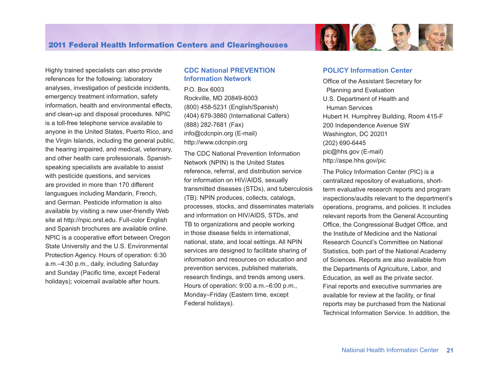

Highly trained specialists can also provide references for the following: laboratory analyses, investigation of pesticide incidents, emergency treatment information, safety information, health and environmental effects, and clean-up and disposal procedures. NPIC is a toll-free telephone service available to anyone in the United States, Puerto Rico, and the Virgin Islands, including the general public, the hearing impaired, and medical, veterinary, and other health care professionals. Spanishspeaking specialists are available to assist with pesticide questions, and services are provided in more than 170 different languagues including Mandarin, French, and German. Pesticide information is also available by visiting a new user-friendly Web site at http://npic.orst.edu. Full-color English and Spanish brochures are available online. NPIC is a cooperative effort between Oregon State University and the U.S. Environmental Protection Agency. Hours of operation: 6:30 a.m.–4:30 p.m., daily, including Saturday and Sunday (Pacific time, except Federal holidays); voicemail available after hours.

## **CDC National PREVENTION Information Network**

P.O. Box 6003 Rockville, MD 20849-6003 (800) 458-5231 (English/Spanish) (404) 679-3860 (International Callers) (888) 282-7681 (Fax) <info@cdcnpin.org>(E-mail) <http://www.cdcnpin.org>

The CDC National Prevention Information Network (NPIN) is the United States reference, referral, and distribution service for information on HIV/AIDS, sexually transmitted diseases (STDs), and tuberculosis (TB). NPIN produces, collects, catalogs, processes, stocks, and disseminates materials and information on HIV/AIDS, STDs, and TB to organizations and people working in those disease fields in international, national, state, and local settings. All NPIN services are designed to facilitate sharing of information and resources on education and prevention services, published materials, research findings, and trends among users. Hours of operation: 9:00 a.m.–6:00 p.m., Monday–Friday (Eastern time, except Federal holidays).

#### **POLICY Information Center**

Office of the Assistant Secretary for Planning and Evaluation U.S. Department of Health and Human Services Hubert H. Humphrey Building, Room 415-F 200 Independence Avenue SW Washington, DC 20201 (202) 690-6445 pic@hhs.gov (E-mail) <http://aspe.hhs.gov/pic>

The Policy Information Center (PIC) is a centralized repository of evaluations, shortterm evaluative research reports and program inspections/audits relevant to the department's operations, programs, and policies. It includes relevant reports from the General Accounting Office, the Congressional Budget Office, and the Institute of Medicine and the National Research Council's Committee on National Statistics, both part of the National Academy of Sciences. Reports are also available from the Departments of Agriculture, Labor, and Education, as well as the private sector. Final reports and executive summaries are available for review at the facility, or final reports may be purchased from the National Technical Information Service. In addition, the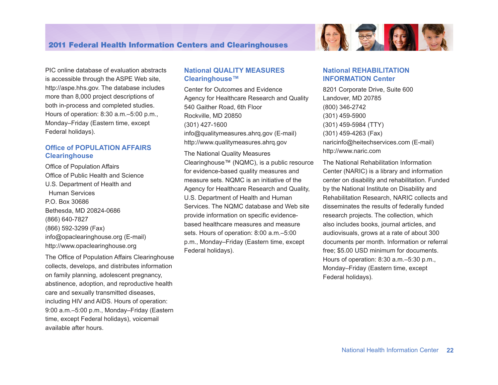

## **Office of POPULATION AFFAIRS Clearinghouse**

Office of Population Affairs Office of Public Health and Science U.S. Department of Health and Human Services P.O. Box 30686 Bethesda, MD 20824-0686 (866) 640-7827 (866) 592-3299 (Fax) <info@opaclearinghouse.org> (E-mail) <http://www.opaclearinghouse.org>

The Office of Population Affairs Clearinghouse collects, develops, and distributes information on family planning, adolescent pregnancy, abstinence, adoption, and reproductive health care and sexually transmitted diseases, including HIV and AIDS. Hours of operation: 9:00 a.m.–5:00 p.m., Monday–Friday (Eastern time, except Federal holidays), voicemail available after hours.

## **National QUALITY MEASURES Clearinghouse™**

Center for Outcomes and Evidence Agency for Healthcare Research and Quality 540 Gaither Road, 6th Floor Rockville, MD 20850 (301) 427-1600 info@qualitymeasures.ahrq.gov (E-mail) <http://www.qualitymeasures.ahrq.gov>

The National Quality Measures Clearinghouse™ (NQMC), is a public resource for evidence-based quality measures and measure sets. NQMC is an initiative of the Agency for Healthcare Research and Quality, U.S. Department of Health and Human Services. The NQMC database and Web site provide information on specific evidencebased healthcare measures and measure sets. Hours of operation: 8:00 a.m.–5:00 p.m., Monday–Friday (Eastern time, except Federal holidays).



**tal est les** 

## **National REHABILITATION INFORMATION Center**

8201 Corporate Drive, Suite 600 Landover, MD 20785 (800) 346-2742 (301) 459-5900 (301) 459-5984 (TTY) (301) 459-4263 (Fax) <naricinfo@heitechservices.com> (E-mail) <http://www.naric.com>

The National Rehabilitation Information Center (NARIC) is a library and information center on disability and rehabilitation. Funded by the National Institute on Disability and Rehabilitation Research, NARIC collects and disseminates the results of federally funded research projects. The collection, which also includes books, journal articles, and audiovisuals, grows at a rate of about 300 documents per month. Information or referral free; \$5.00 USD minimum for documents. Hours of operation: 8:30 a.m.–5:30 p.m., Monday–Friday (Eastern time, except Federal holidays).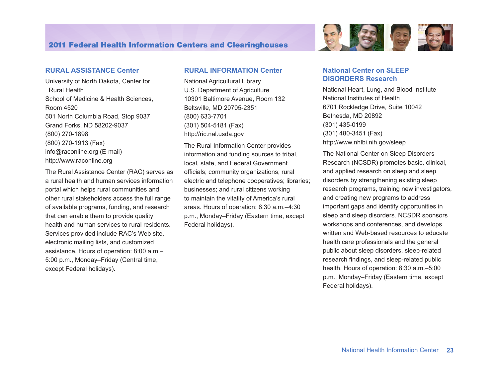## **RURAL ASSISTANCE Center**

University of North Dakota, Center for Rural Health School of Medicine & Health Sciences, Room 4520 501 North Columbia Road, Stop 9037 Grand Forks, ND 58202-9037 (800) 270-1898 (800) 270-1913 (Fax) <info@raconline.org> (E-mail) <http://www.raconline.org>

The Rural Assistance Center (RAC) serves as a rural health and human services information portal which helps rural communities and other rural stakeholders access the full range of available programs, funding, and research that can enable them to provide quality health and human services to rural residents. Services provided include RAC's Web site, electronic mailing lists, and customized assistance. Hours of operation: 8:00 a.m.– 5:00 p.m., Monday–Friday (Central time, except Federal holidays).

## **RURAL INFORMATION Center**

National Agricultural Library U.S. Department of Agriculture 10301 Baltimore Avenue, Room 132 Beltsville, MD 20705-2351 (800) 633-7701 (301) 504-5181 (Fax) <http://ric.nal.usda.gov>

The Rural Information Center provides information and funding sources to tribal, local, state, and Federal Government officials; community organizations; rural electric and telephone cooperatives; libraries; businesses; and rural citizens working to maintain the vitality of America's rural areas. Hours of operation: 8:30 a.m.–4:30 p.m., Monday–Friday (Eastern time, except Federal holidays).



## **National Center on SLEEP DISORDERS Research**

National Heart, Lung, and Blood Institute National Institutes of Health 6701 Rockledge Drive, Suite 10042 Bethesda, MD 20892 (301) 435-0199 (301) 480-3451 (Fax) <http://www.nhlbi.nih.gov/sleep>

The National Center on Sleep Disorders Research (NCSDR) promotes basic, clinical, and applied research on sleep and sleep disorders by strengthening existing sleep research programs, training new investigators, and creating new programs to address important gaps and identify opportunities in sleep and sleep disorders. NCSDR sponsors workshops and conferences, and develops written and Web-based resources to educate health care professionals and the general public about sleep disorders, sleep-related research findings, and sleep-related public health. Hours of operation: 8:30 a.m.–5:00 p.m., Monday–Friday (Eastern time, except Federal holidays).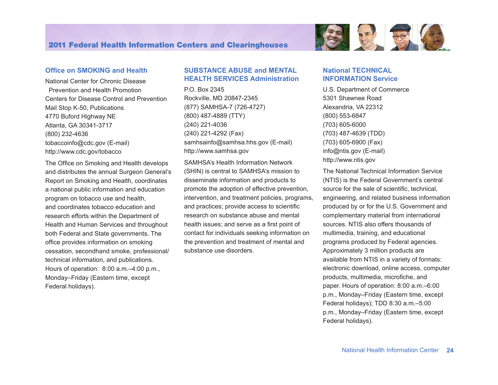

## **Office on SMOKING and Health**

National Center for Chronic Disease Prevention and Health Promotion Centers for Disease Control and Prevention Mail Stop K-50, Publications 4770 Buford Highway NE Atlanta, GA 30341-3717 (800) 232-4636 <tobaccoinfo@cdc.gov>(E-mail) <http://www.cdc.gov/tobacco>

The Office on Smoking and Health develops and distributes the annual Surgeon General's Report on Smoking and Health, coordinates a national public information and education program on tobacco use and health, and coordinates tobacco education and research efforts within the Department of Health and Human Services and throughout both Federal and State governments. The office provides information on smoking cessation, secondhand smoke, professional/ technical information, and publications. Hours of operation: 8:00 a.m.–4:00 p.m., Monday–Friday (Eastern time, except Federal holidays).

## **SUBSTANCE ABUSE and MENTAL HEALTH SERVICES Administration**

P.O. Box 2345 Rockville, MD 20847-2345 (877) SAMHSA-7 (726-4727) (800) 487-4889 (TTY) (240) 221-4036 (240) 221-4292 (Fax) samhsainfo@samhsa.hhs.gov (E-mail) [http://www.samhsa.gov](http://www.samhsa.gov/shin)

SAMHSA's Health Information Network (SHIN) is central to SAMHSA's mission to disseminate information and products to promote the adoption of effective prevention, intervention, and treatment policies, programs, and practices; provide access to scientific research on substance abuse and mental health issues; and serve as a first point of contact for individuals seeking information on the prevention and treatment of mental and substance use disorders.

## **National TECHNICAL INFORMATION Service**

U.S. Department of Commerce 5301 Shawnee Road Alexandria, VA 22312 (800) 553-6847 (703) 605-6000 (703) 487-4639 (TDD) (703) 605-6900 (Fax) <info@ntis.gov> (E-mail) <http://www.ntis.gov>

The National Technical Information Service (NTIS) is the Federal Government's central source for the sale of scientific, technical, engineering, and related business information produced by or for the U.S. Government and complementary material from international sources. NTIS also offers thousands of multimedia, training, and educational programs produced by Federal agencies. Approximately 3 million products are available from NTIS in a variety of formats: electronic download, online access, computer products, multimedia, microfiche, and paper. Hours of operation: 8:00 a.m.–6:00 p.m., Monday–Friday (Eastern time, except Federal holidays); TDD 8:30 a.m.–5:00 p.m., Monday–Friday (Eastern time, except Federal holidays).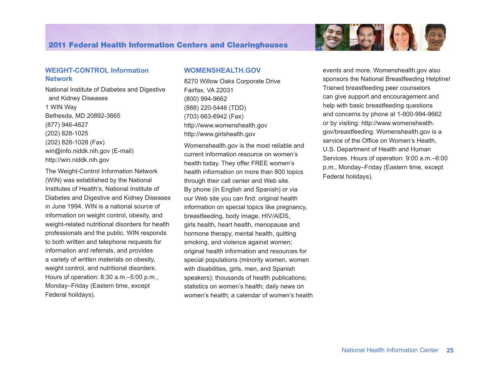## **WEIGHT-CONTROL Information Network**

National Institute of Diabetes and Digestive and Kidney Diseases 1 WIN Way Bethesda, MD 20892-3665 (877) 946-4627 (202) 828-1025 (202) 828-1028 (Fax) <win@info.niddk.nih.gov>(E-mail) <http://win.niddk.nih.gov>

The Weight-Control Information Network (WIN) was established by the National Institutes of Health's, National Institute of Diabetes and Digestive and Kidney Diseases in June 1994. WIN is a national source of information on weight control, obesity, and weight-related nutritional disorders for health professionals and the public. WIN responds to both written and telephone requests for information and referrals, and provides a variety of written materials on obesity, weight control, and nutritional disorders. Hours of operation: 8:30 a.m.–5:00 p.m., Monday–Friday (Eastern time, except Federal holidays).

## **WOMENSHEALTH.GOV**

8270 Willow Oaks Corporate Drive Fairfax, VA 22031 (800) 994-9662 (888) 220-5446 (TDD) (703) 663-6942 (Fax) <http://www.womenshealth.gov> <http://www.girlshealth.gov>

Womenshealth.gov is the most reliable and current information resource on women's health today. They offer FREE women's health information on more than 800 topics through their call center and Web site. By phone (in English and Spanish) or via our Web site you can find: original health information on special topics like pregnancy, breastfeeding, body image, HIV/AIDS, girls health, heart health, menopause and hormone therapy, mental health, quitting smoking, and violence against women; original health information and resources for special populations (minority women, women with disabilities, girls, men, and Spanish speakers); thousands of health publications; statistics on women's health; daily news on women's health; a calendar of women's health



events and more. Womenshealth.gov also sponsors the National Breastfeeding Helpline! Trained breastfeeding peer counselors can give support and encouragement and help with basic breastfeeding questions and concerns by phone at 1-800-994-9662 or by visiting: http://www.womenshealth. gov/breastfeeding. Womenshealth.gov is a service of the Office on Women's Health, U.S. Department of Health and Human Services. Hours of operation: 9:00 a.m.–6:00 p.m., Monday–Friday (Eastern time, except Federal holidays).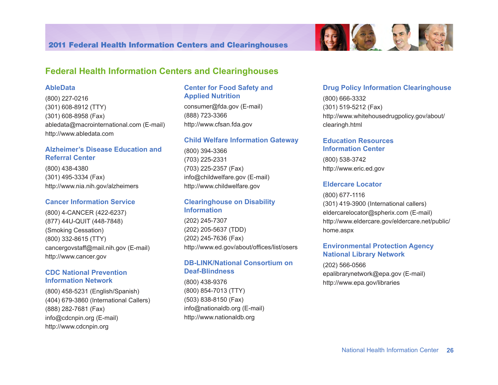

#### **AbleData**

(800) 227-0216 (301) 608-8912 (TTY) (301) 608-8958 (Fax) <abledata@macrointernational.com> (E-mail) <http://www.abledata.com>

## **Alzheimer's Disease Education and Referral Center**

(800) 438-4380 (301) 495-3334 (Fax) <http://www.nia.nih.gov/alzheimers>

## **Cancer Information Service**

(800) 4-CANCER (422-6237) (877) 44U-QUIT (448-7848) (Smoking Cessation) (800) 332-8615 (TTY) <cancergovstaff@mail.nih.gov> (E-mail) <http://www.cancer.gov>

## **CDC National Prevention Information Network**

(800) 458-5231 (English/Spanish) (404) 679-3860 (International Callers) (888) 282-7681 (Fax) <info@cdcnpin.org>(E-mail) <http://www.cdcnpin.org>

## **Center for Food Safety and Applied Nutrition**

consumer@fda.gov (E-mail) (888) 723-3366 <http://www.cfsan.fda.gov>

## **Child Welfare Information Gateway**

(800) 394-3366 (703) 225-2331 (703) 225-2357 (Fax) <info@childwelfare.gov>(E-mail) <http://www.childwelfare.gov>

## **Clearinghouse on Disability Information**

(202) 245-7307 (202) 205-5637 (TDD) (202) 245-7636 (Fax) <http://www.ed.gov/about/offices/list/osers>

## **DB-LINK/National Consortium on Deaf-Blindness**

(800) 438-9376 (800) 854-7013 (TTY) (503) 838-8150 (Fax) <info@nationaldb.org> (E-mail) <http://www.nationaldb.org>

## **Drug Policy Information Clearinghouse**

(800) 666-3332 (301) 519-5212 (Fax) [http://www.whitehousedrugpolicy.gov/about/](http://www.whitehousedrugpolicy.gov/about/clearingh.html) [clearingh.html](http://www.whitehousedrugpolicy.gov/about/clearingh.html)

#### **Education Resources Information Center**

(800) 538-3742 <http://www.eric.ed.gov>

## **Eldercare Locator**

(800) 677-1116 (301) 419-3900 (International callers) <eldercarelocator@spherix.com> (E-mail) [http://www.eldercare.gov/eldercare.net/public/](http://www.eldercare.gov/eldercare.net/public/home.aspx) [home.aspx](http://www.eldercare.gov/eldercare.net/public/home.aspx)

## **Environmental Protection Agency National Library Network**

(202) 566-0566 [epalibrarynetwork@epa.gov](epachemlibraries@epa.gov) (E-mail) [http://www.epa.gov/l](http://www.epa.gov/natlibra/hqirc)ibraries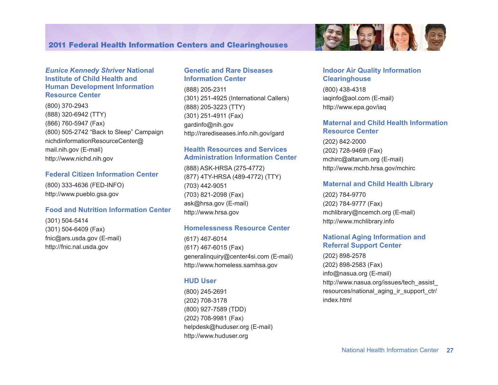

## *Eunice Kennedy Shriver* **National Institute of Child Health and Human Development Information Resource Center**

(800) 370-2943 (888) 320-6942 (TTY) (866) 760-5947 (Fax) (800) 505-2742 "Back to Sleep" Campaign [nichdinformationResourceCenter@](nichdinformationResourceCenter@mail.nih.gov) [mail.nih.gov](nichdinformationResourceCenter@mail.nih.gov) (E-mail) <http://www.nichd.nih.gov>

#### **Federal Citizen Information Center**

(800) 333-4636 (FED-INFO) <http://www.pueblo.gsa.gov>

## **Food and Nutrition Information Center**

(301) 504-5414 (301) 504-6409 (Fax) <fnic@ars.usda.gov>(E-mail) [http://fnic.nal.usda.gov](http://fnic.nal.usda.gov/nal_display/index.php?info_center=4&tax_level=1)

#### **Genetic and Rare Diseases Information Center**

(888) 205-2311 (301) 251-4925 (International Callers) (888) 205-3223 (TTY) (301) 251-4911 (Fax) <gardinfo@nih.gov> <http://rarediseases.info.nih.gov/gard>

#### **Health Resources and Services Administration Information Center**

(888) ASK-HRSA (275-4772) (877) 4TY-HRSA (489-4772) (TTY) (703) 442-9051 (703) 821-2098 (Fax) <ask@hrsa.gov>(E-mail) <http://www.hrsa.gov>

#### **Homelessness Resource Center**

(617) 467-6014 (617) 467-6015 (Fax) <generalinquiry@center4si.com>(E-mail) <http://www.homeless.samhsa.gov>

#### **HUD User**

(800) 245-2691 (202) 708-3178 (800) 927-7589 (TDD) (202) 708-9981 (Fax) <helpdesk@huduser.org>(E-mail) <http://www.huduser.org>

#### **Indoor Air Quality Information Clearinghouse**

(800) 438-4318 <iaqinfo@aol.com> (E-mail) <http://www.epa.gov/iaq>

#### **Maternal and Child Health Information Resource Center**

(202) 842-2000 (202) 728-9469 (Fax) <mchirc@altarum.org>(E-mail) <http://www.mchb.hrsa.gov/mchirc>

#### **Maternal and Child Health Library**

(202) 784-9770 (202) 784-9777 (Fax) <mchlibrary@ncemch.org> (E-mail) <http://www.mchlibrary.info>

#### **National Aging Information and Referral Support Center**

(202) 898-2578 (202) 898-2583 (Fax) <info@nasua.org> (E-mail) [http://www.nasua.org/issues/tech\\_assist\\_](http://www.nasua.org/issues/tech_assist_resources/national_aging_ir_support_ctr/index.html) [resources/national\\_aging\\_ir\\_support\\_ctr/](http://www.nasua.org/issues/tech_assist_resources/national_aging_ir_support_ctr/index.html) [index.html](http://www.nasua.org/issues/tech_assist_resources/national_aging_ir_support_ctr/index.html)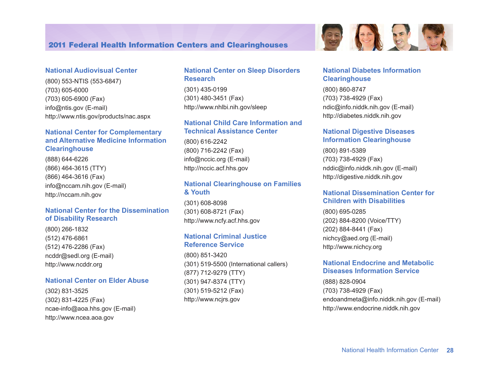

(800) 553-NTIS (553-6847) (703) 605-6000 (703) 605-6900 (Fax) <info@ntis.gov>(E-mail) <http://www.ntis.gov/products/nac.aspx>

## **National Center for Complementary and Alternative Medicine Information Clearinghouse**

(888) 644-6226 (866) 464-3615 (TTY) (866) 464-3616 (Fax) <info@nccam.nih.gov>(E-mail) <http://nccam.nih.gov>

## **National Center for the Dissemination of Disability Research**

(800) 266-1832 (512) 476-6861 (512) 476-2286 (Fax) <ncddr@sedl.org>(E-mail) <http://www.ncddr.org>

#### **National Center on Elder Abuse**

(302) 831-3525 (302) 831-4225 (Fax) <ncae-info@aoa.hhs.gov>(E-mail) <http://www.ncea.aoa.gov>

## **National Center on Sleep Disorders Research**

(301) 435-0199 (301) 480-3451 (Fax) <http://www.nhlbi.nih.gov/sleep>

#### **National Child Care Information and Technical Assistance Center**

(800) 616-2242 (800) 716-2242 (Fax) <info@nccic.org> (E-mail) <http://nccic.acf.hhs.gov>

## **National Clearinghouse on Families & Youth**

(301) 608-8098 (301) 608-8721 (Fax) <http://www.ncfy.acf.hhs.gov>

## **National Criminal Justice Reference Service**

(800) 851-3420 (301) 519-5500 (International callers) (877) 712-9279 (TTY) (301) 947-8374 (TTY) (301) 519-5212 (Fax) <http://www.ncjrs.gov>

## **National Diabetes Information Clearinghouse**

(800) 860-8747 (703) 738-4929 (Fax) <ndic@info.niddk.nih.gov>(E-mail) <http://diabetes.niddk.nih.gov>

#### **National Digestive Diseases Information Clearinghouse**

(800) 891-5389 (703) 738-4929 (Fax) <nddic@info.niddk.nih.gov> (E-mail) <http://digestive.niddk.nih.gov>

#### **National Dissemination Center for Children with Disabilities**

(800) 695-0285 (202) 884-8200 (Voice/TTY) (202) 884-8441 (Fax) <nichcy@aed.org>(E-mail) <http://www.nichcy.org>

#### **National Endocrine and Metabolic Diseases Information Service**

(888) 828-0904 (703) 738-4929 (Fax) <endoandmeta@info.niddk.nih.gov>(E-mail) <http://www.endocrine.niddk.nih.gov>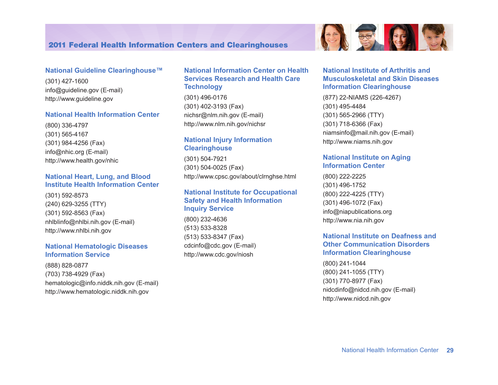

#### **National Guideline Clearinghouse™**

(301) 427-1600 <info@guideline.gov> (E-mail) <http://www.guideline.gov>

#### **National Health Information Center**

(800) 336-4797 (301) 565-4167 (301) 984-4256 (Fax) <info@nhic.org>(E-mail) <http://www.health.gov/nhic>

## **National Heart, Lung, and Blood Institute Health Information Center**

(301) 592-8573 (240) 629-3255 (TTY) (301) 592-8563 (Fax) <nhlbIinfo@nhlbi.nih.gov> (E-mail) <http://www.nhlbi.nih.gov>

#### **National Hematologic Diseases Information Service**

(888) 828-0877 (703) 738-4929 (Fax) <hematologic@info.niddk.nih.gov>(E-mail) <http://www.hematologic.niddk.nih.gov>

## **National Information Center on Health Services Research and Health Care Technology**

(301) 496-0176 (301) 402-3193 (Fax) <nichsr@nlm.nih.gov>(E-mail) <http://www.nlm.nih.gov/nichsr>

## **National Injury Information Clearinghouse**

(301) 504-7921 (301) 504-0025 (Fax) <http://www.cpsc.gov/about/clrnghse.html>

### **National Institute for Occupational Safety and Health Information Inquiry Service**

(800) 232-4636 (513) 533-8328 (513) 533-8347 (Fax) <cdcinfo@cdc.gov> (E-mail) <http://www.cdc.gov/niosh>

#### **National Institute of Arthritis and Musculoskeletal and Skin Diseases Information Clearinghouse**

(877) 22-NIAMS (226-4267) (301) 495-4484 (301) 565-2966 (TTY) (301) 718-6366 (Fax) <niamsinfo@mail.nih.gov>(E-mail) <http://www.niams.nih.gov>

## **National Institute on Aging Information Center**

(800) 222-2225 (301) 496-1752 (800) 222-4225 (TTY) (301) 496-1072 (Fax) <info@niapublications.org> <http://www.nia.nih.gov>

## **National Institute on Deafness and Other Communication Disorders Information Clearinghouse**

(800) 241-1044 (800) 241-1055 (TTY) (301) 770-8977 (Fax) <nidcdinfo@nidcd.nih.gov>(E-mail) <http://www.nidcd.nih.gov>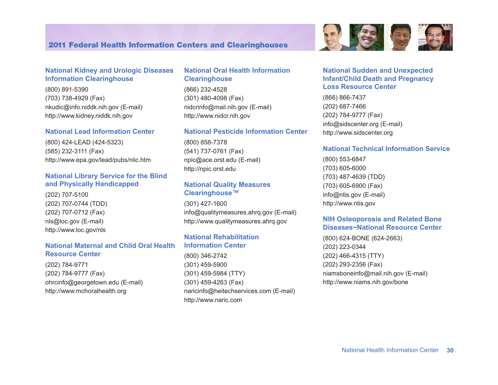

## **National Kidney and Urologic Diseases Information Clearinghouse**

(800) 891-5390 (703) 738-4929 (Fax) <nkudic@info.niddk.nih.gov>(E-mail) <http://www.kidney.niddk.nih.gov>

#### **National Lead Information Center**

(800) 424-LEAD (424-5323) (585) 232-3111 (Fax) <http://www.epa.gov/lead/pubs/nlic.htm>

#### **National Library Service for the Blind and Physically Handicapped**

(202) 707-5100 (202) 707-0744 (TDD) (202) 707-0712 (Fax) <nls@loc.gov>(E-mail) <http://www.loc.gov/nls>

#### **National Maternal and Child Oral Health Resource Center**

(202) 784-9771 (202) 784-9777 (Fax) <ohrcinfo@georgetown.edu> (E-mail) <http://www.mchoralhealth.org>

## **National Oral Health Information Clearinghouse**

(866) 232-4528 (301) 480-4098 (Fax) <nidcrinfo@mail.nih.gov> (E-mail) <http://www.nidcr.nih.gov>

#### **National Pesticide Information Center**

(800) 858-7378 (541) 737-0761 (Fax) <npic@ace.orst.edu> (E-mail) <http://npic.orst.edu>

#### **National Quality Measures Clearinghouse™**

(301) 427-1600 <info@qualitymeasures.ahrq.gov>(E-mail) <http://www.qualitymeasures.ahrq.gov>

#### **National Rehabilitation Information Center**

(800) 346-2742 (301) 459-5900 (301) 459-5984 (TTY) (301) 459-4263 (Fax) <naricinfo@heitechservices.com> (E-mail) <http://www.naric.com>

## **National Sudden and Unexpected Infant/Child Death and Pregnancy Loss Resource Center**

(866) 866-7437 (202) 687-7466 (202) 784-9777 (Fax) <info@sidscenter.org> (E-mail) <http://www.sidscenter.org>

## **National Technical Information Service**

(800) 553-6847 (703) 605-6000 (703) 487-4639 (TDD) (703) 605-6900 (Fax) <info@ntis.gov> (E-mail) <http://www.ntis.gov>

## **NIH Osteoporosis and Related Bone Diseases~National Resource Center**

(800) 624-BONE (624-2663) (202) 223-0344 (202) 466-4315 (TTY) (202) 293-2356 (Fax) <niamsboneinfo@mail.nih.gov> (E-mail) <http://www.niams.nih.gov/bone>